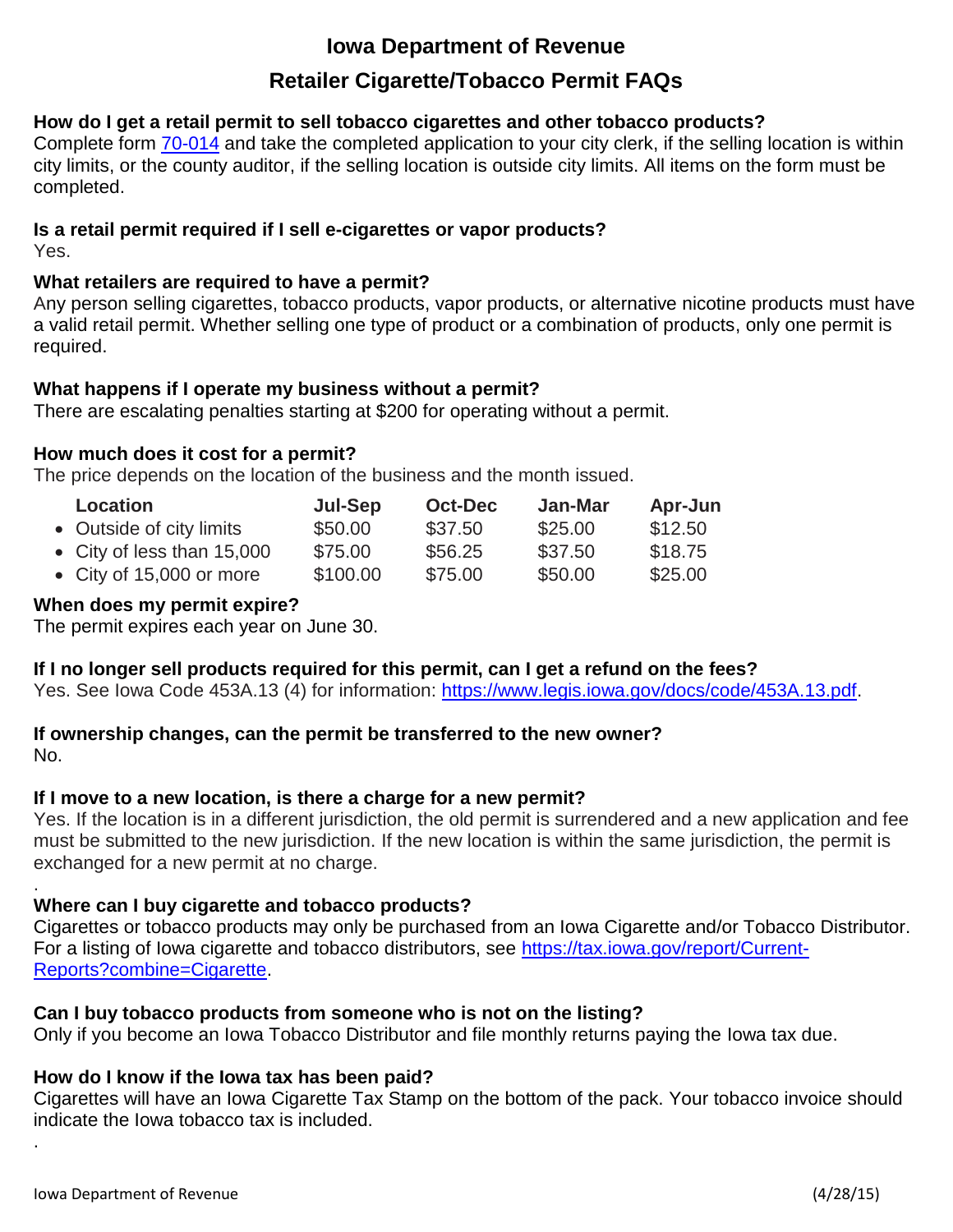# **Iowa Department of Revenue**

# **Retailer Cigarette/Tobacco Permit FAQs**

# **How do I get a retail permit to sell tobacco cigarettes and other tobacco products?**

Complete form [70-014](https://tax.iowa.gov/sites/files/idr/forms1/Iowa%20Retail%20Permit%20Application%20For%20CigaretteTobaccoNicotineVapor%20%2870014%29.pdf) and take the completed application to your city clerk, if the selling location is within city limits, or the county auditor, if the selling location is outside city limits. All items on the form must be completed.

# **Is a retail permit required if I sell e-cigarettes or vapor products?**

Yes.

.

.

# **What retailers are required to have a permit?**

Any person selling cigarettes, tobacco products, vapor products, or alternative nicotine products must have a valid retail permit. Whether selling one type of product or a combination of products, only one permit is required.

# **What happens if I operate my business without a permit?**

There are escalating penalties starting at \$200 for operating without a permit.

# **How much does it cost for a permit?**

The price depends on the location of the business and the month issued.

| <b>Location</b>            | Jul-Sep  | <b>Oct-Dec</b> | Jan-Mar | Apr-Jun |
|----------------------------|----------|----------------|---------|---------|
| • Outside of city limits   | \$50.00  | \$37.50        | \$25.00 | \$12.50 |
| • City of less than 15,000 | \$75.00  | \$56.25        | \$37.50 | \$18.75 |
| • City of 15,000 or more   | \$100.00 | \$75.00        | \$50.00 | \$25.00 |

# **When does my permit expire?**

The permit expires each year on June 30.

### **If I no longer sell products required for this permit, can I get a refund on the fees?**

Yes. See Iowa Code 453A.13 (4) for information: [https://www.legis.iowa.gov/docs/code/453A.13.pdf.](https://www.legis.iowa.gov/docs/code/453A.13.pdf)

#### **If ownership changes, can the permit be transferred to the new owner?** No.

### **If I move to a new location, is there a charge for a new permit?**

Yes. If the location is in a different jurisdiction, the old permit is surrendered and a new application and fee must be submitted to the new jurisdiction. If the new location is within the same jurisdiction, the permit is exchanged for a new permit at no charge.

# **Where can I buy cigarette and tobacco products?**

Cigarettes or tobacco products may only be purchased from an Iowa Cigarette and/or Tobacco Distributor. For a listing of Iowa cigarette and tobacco distributors, see [https://tax.iowa.gov/report/Current-](https://tax.iowa.gov/report/Current-Reports?combine=Cigarette)[Reports?combine=Cigarette.](https://tax.iowa.gov/report/Current-Reports?combine=Cigarette)

# **Can I buy tobacco products from someone who is not on the listing?**

Only if you become an Iowa Tobacco Distributor and file monthly returns paying the Iowa tax due.

# **How do I know if the Iowa tax has been paid?**

Cigarettes will have an Iowa Cigarette Tax Stamp on the bottom of the pack. Your tobacco invoice should indicate the Iowa tobacco tax is included.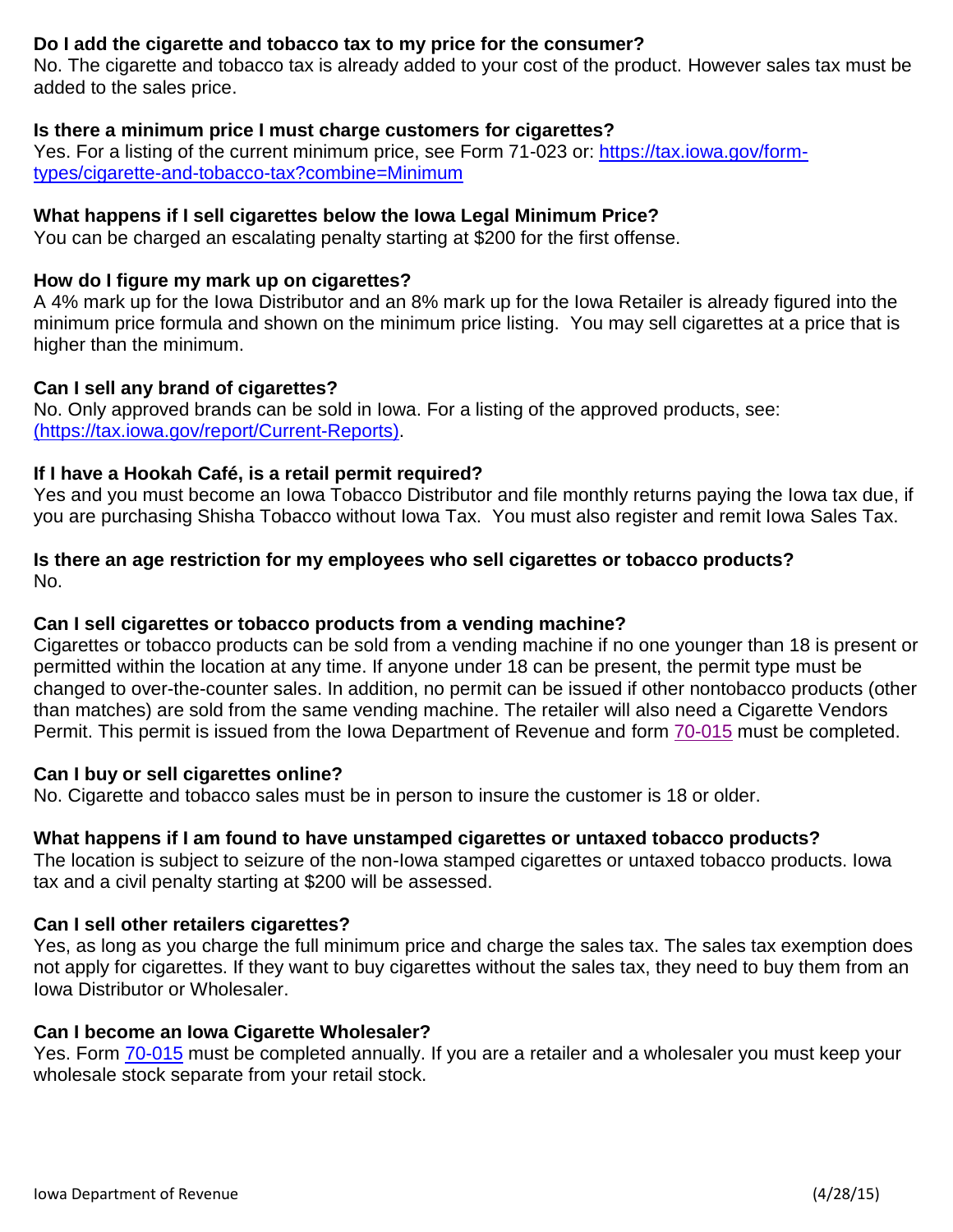# **Do I add the cigarette and tobacco tax to my price for the consumer?**

No. The cigarette and tobacco tax is already added to your cost of the product. However sales tax must be added to the sales price.

### **Is there a minimum price I must charge customers for cigarettes?**

Yes. For a listing of the current minimum price, see Form 71-023 or: [https://tax.iowa.gov/form](https://tax.iowa.gov/form-types/cigarette-and-tobacco-tax?combine=Minimum)[types/cigarette-and-tobacco-tax?combine=Minimum](https://tax.iowa.gov/form-types/cigarette-and-tobacco-tax?combine=Minimum)

### **What happens if I sell cigarettes below the Iowa Legal Minimum Price?**

You can be charged an escalating penalty starting at \$200 for the first offense.

#### **How do I figure my mark up on cigarettes?**

A 4% mark up for the Iowa Distributor and an 8% mark up for the Iowa Retailer is already figured into the minimum price formula and shown on the minimum price listing. You may sell cigarettes at a price that is higher than the minimum.

#### **Can I sell any brand of cigarettes?**

No. Only approved brands can be sold in Iowa. For a listing of the approved products, see: [\(https://tax.iowa.gov/report/Current-Reports\).](https://tax.iowa.gov/report/Current-Reports)

#### **If I have a Hookah Café, is a retail permit required?**

Yes and you must become an Iowa Tobacco Distributor and file monthly returns paying the Iowa tax due, if you are purchasing Shisha Tobacco without Iowa Tax. You must also register and remit Iowa Sales Tax.

#### **Is there an age restriction for my employees who sell cigarettes or tobacco products?** No.

### **Can I sell cigarettes or tobacco products from a vending machine?**

Cigarettes or tobacco products can be sold from a vending machine if no one younger than 18 is present or permitted within the location at any time. If anyone under 18 can be present, the permit type must be changed to over-the-counter sales. In addition, no permit can be issued if other nontobacco products (other than matches) are sold from the same vending machine. The retailer will also need a Cigarette Vendors Permit. This permit is issued from the Iowa Department of Revenue and form [70-015](https://tax.iowa.gov/sites/files/idr/forms1/70-015.pdf) must be completed.

#### **Can I buy or sell cigarettes online?**

No. Cigarette and tobacco sales must be in person to insure the customer is 18 or older.

#### **What happens if I am found to have unstamped cigarettes or untaxed tobacco products?**

The location is subject to seizure of the non-Iowa stamped cigarettes or untaxed tobacco products. Iowa tax and a civil penalty starting at \$200 will be assessed.

#### **Can I sell other retailers cigarettes?**

Yes, as long as you charge the full minimum price and charge the sales tax. The sales tax exemption does not apply for cigarettes. If they want to buy cigarettes without the sales tax, they need to buy them from an Iowa Distributor or Wholesaler.

#### **Can I become an Iowa Cigarette Wholesaler?**

Yes. Form [70-015](https://tax.iowa.gov/sites/files/idr/forms1/70-015.pdf) must be completed annually. If you are a retailer and a wholesaler you must keep your wholesale stock separate from your retail stock.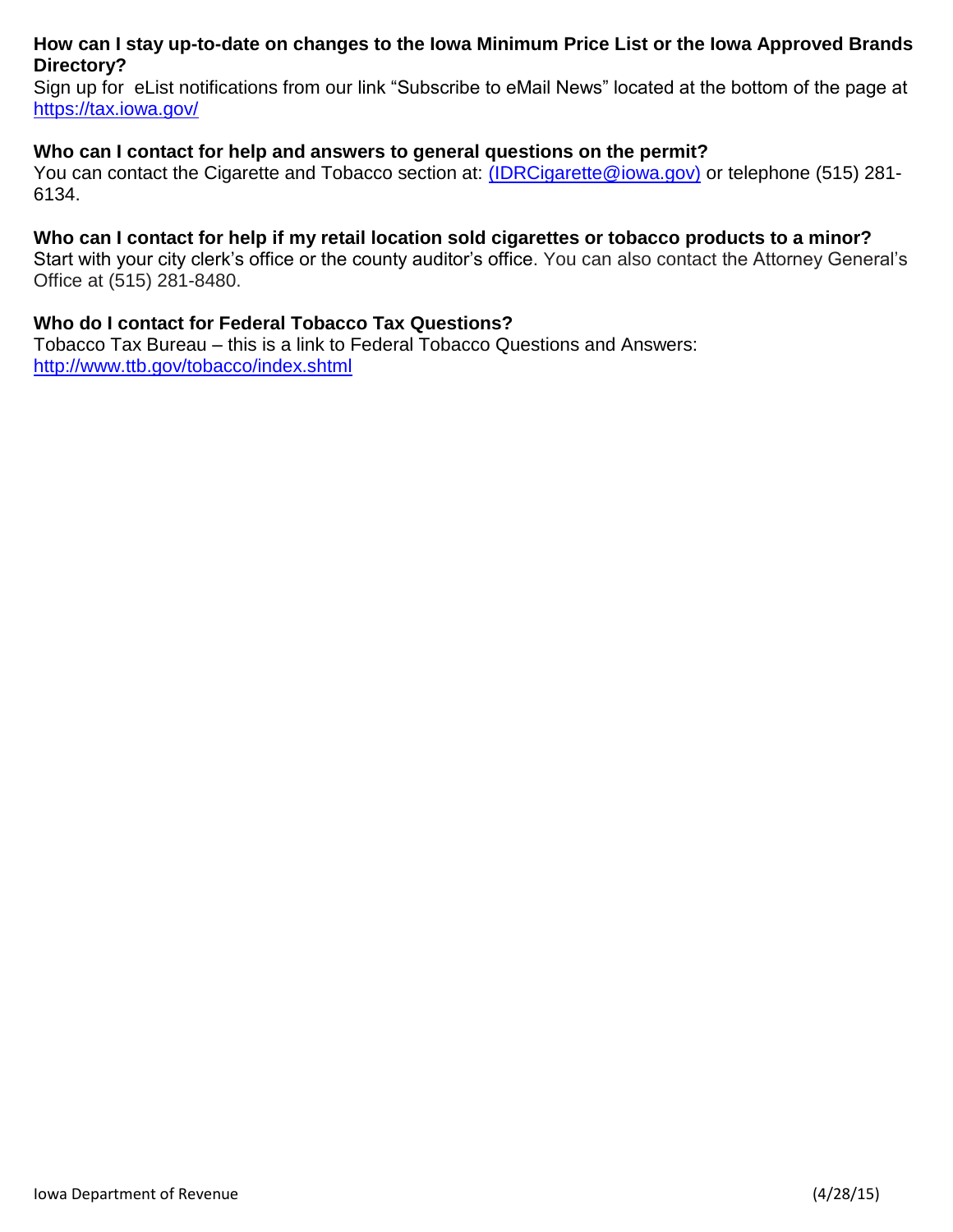## **How can I stay up-to-date on changes to the Iowa Minimum Price List or the Iowa Approved Brands Directory?**

Sign up for eList notifications from our link "Subscribe to eMail News" located at the bottom of the page a[t](https://tax.iowa.gov/) <https://tax.iowa.gov/>

#### **Who can I contact for help and answers to general questions on the permit?**

You can contact the Cigarette and Tobacco section at: [\(IDRCigarette@iowa.gov\)](mailto:IDRCigarette@iowa.gov) or telephone (515) 281-6134.

#### **Who can I contact for help if my retail location sold cigarettes or tobacco products to a minor?**

Start with your city clerk's office or the county auditor's office. You can also contact the Attorney General's Office at (515) 281-8480.

#### **Who do I contact for Federal Tobacco Tax Questions?**

Tobacco Tax Bureau – this is a link to Federal Tobacco Questions and Answers: <http://www.ttb.gov/tobacco/index.shtml>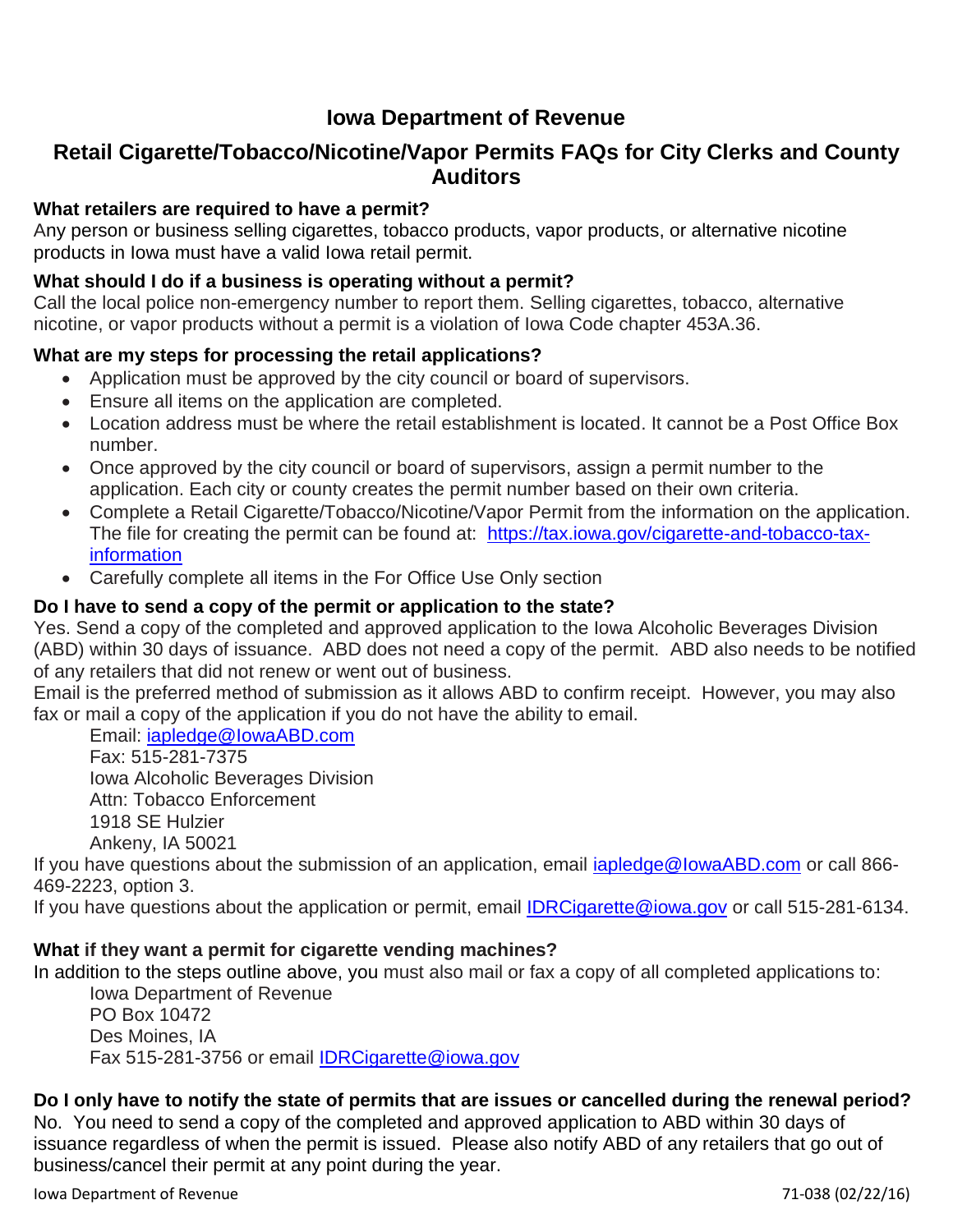# **Iowa Department of Revenue**

# **Retail Cigarette/Tobacco/Nicotine/Vapor Permits FAQs for City Clerks and County Auditors**

## **What retailers are required to have a permit?**

Any person or business selling cigarettes, tobacco products, vapor products, or alternative nicotine products in Iowa must have a valid Iowa retail permit.

## **What should I do if a business is operating without a permit?**

Call the local police non-emergency number to report them. Selling cigarettes, tobacco, alternative nicotine, or vapor products without a permit is a violation of Iowa Code chapter 453A.36.

## **What are my steps for processing the retail applications?**

- Application must be approved by the city council or board of supervisors.
- Ensure all items on the application are completed.
- Location address must be where the retail establishment is located. It cannot be a Post Office Box number.
- Once approved by the city council or board of supervisors, assign a permit number to the application. Each city or county creates the permit number based on their own criteria.
- Complete a Retail Cigarette/Tobacco/Nicotine/Vapor Permit from the information on the application. The file for creating the permit can be found at: [https://tax.iowa.gov/cigarette-and-tobacco-tax](https://tax.iowa.gov/cigarette-and-tobacco-tax-information)[information](https://tax.iowa.gov/cigarette-and-tobacco-tax-information)
- Carefully complete all items in the For Office Use Only section

# **Do I have to send a copy of the permit or application to the state?**

Yes. Send a copy of the completed and approved application to the Iowa Alcoholic Beverages Division (ABD) within 30 days of issuance. ABD does not need a copy of the permit. ABD also needs to be notified of any retailers that did not renew or went out of business.

Email is the preferred method of submission as it allows ABD to confirm receipt. However, you may also fax or mail a copy of the application if you do not have the ability to email.

Email: [iapledge@IowaABD.com](mailto:iapledge@IowaABD.com) Fax: 515-281-7375 Iowa Alcoholic Beverages Division Attn: Tobacco Enforcement 1918 SE Hulzier

Ankeny, IA 50021

If you have questions about the submission of an application, email [iapledge@IowaABD.com](mailto:iapledge@IowaABD.com) or call 866-469-2223, option 3.

If you have questions about the application or permit, email **IDRCigarette@iowa.gov** or call 515-281-6134.

### **What if they want a permit for cigarette vending machines?**

In addition to the steps outline above, you must also mail or fax a copy of all completed applications to:

Iowa Department of Revenue PO Box 10472 Des Moines, IA Fax 515-281-3756 or email [IDRCigarette@iowa.gov](mailto:IDRCigarette@iowa.gov)

### **Do I only have to notify the state of permits that are issues or cancelled during the renewal period?**

No. You need to send a copy of the completed and approved application to ABD within 30 days of issuance regardless of when the permit is issued. Please also notify ABD of any retailers that go out of business/cancel their permit at any point during the year.